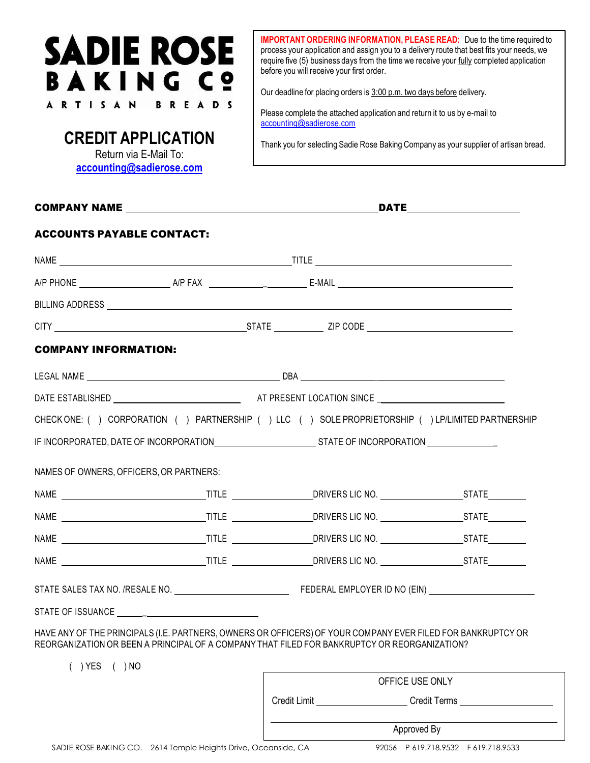## **SADIE ROSE BAKING Cº ARTISAN** R **READ**

**CREDIT APPLICATION**  Return via E-Mail To: **[accounting@sadierose.com](mailto:accounting@sadierose.com)**

**IMPORTANT ORDERING INFORMATION, PLEASE READ:** Due to the time required to process your application and assign you to a delivery route that best fits your needs, we require five (5) business days from the time we receive your fully completed application before you will receive your first order.

Our deadline for placing orders is 3:00 p.m. two days before delivery.

Please complete the attached application and return it to us by e-mail to [accounting@sadierose.com](mailto:accounting@sadierose.com)

Thank you for selecting Sadie Rose Baking Company as your supplier of artisan bread.

|                                                                                                                                                                                                             |  |  | <b>DATE</b>     |                           |  |
|-------------------------------------------------------------------------------------------------------------------------------------------------------------------------------------------------------------|--|--|-----------------|---------------------------|--|
| <b>ACCOUNTS PAYABLE CONTACT:</b>                                                                                                                                                                            |  |  |                 |                           |  |
|                                                                                                                                                                                                             |  |  |                 |                           |  |
|                                                                                                                                                                                                             |  |  |                 |                           |  |
|                                                                                                                                                                                                             |  |  |                 |                           |  |
|                                                                                                                                                                                                             |  |  |                 |                           |  |
| <b>COMPANY INFORMATION:</b>                                                                                                                                                                                 |  |  |                 |                           |  |
|                                                                                                                                                                                                             |  |  |                 |                           |  |
|                                                                                                                                                                                                             |  |  |                 |                           |  |
| CHECK ONE: () CORPORATION () PARTNERSHIP () LLC () SOLE PROPRIETORSHIP () LP/LIMITED PARTNERSHIP                                                                                                            |  |  |                 |                           |  |
|                                                                                                                                                                                                             |  |  |                 |                           |  |
| NAMES OF OWNERS, OFFICERS, OR PARTNERS:                                                                                                                                                                     |  |  |                 |                           |  |
|                                                                                                                                                                                                             |  |  |                 |                           |  |
|                                                                                                                                                                                                             |  |  |                 |                           |  |
|                                                                                                                                                                                                             |  |  |                 |                           |  |
|                                                                                                                                                                                                             |  |  |                 |                           |  |
|                                                                                                                                                                                                             |  |  |                 |                           |  |
|                                                                                                                                                                                                             |  |  |                 |                           |  |
| HAVE ANY OF THE PRINCIPALS (I.E. PARTNERS, OWNERS OR OFFICERS) OF YOUR COMPANY EVER FILED FOR BANKRUPTCY OR<br>REORGANIZATION OR BEEN A PRINCIPAL OF A COMPANY THAT FILED FOR BANKRUPTCY OR REORGANIZATION? |  |  |                 |                           |  |
| $( )$ YES $( )$ NO                                                                                                                                                                                          |  |  |                 |                           |  |
|                                                                                                                                                                                                             |  |  | OFFICE USE ONLY | Credit Limit Credit Terms |  |
|                                                                                                                                                                                                             |  |  |                 |                           |  |
|                                                                                                                                                                                                             |  |  |                 | Approved By               |  |